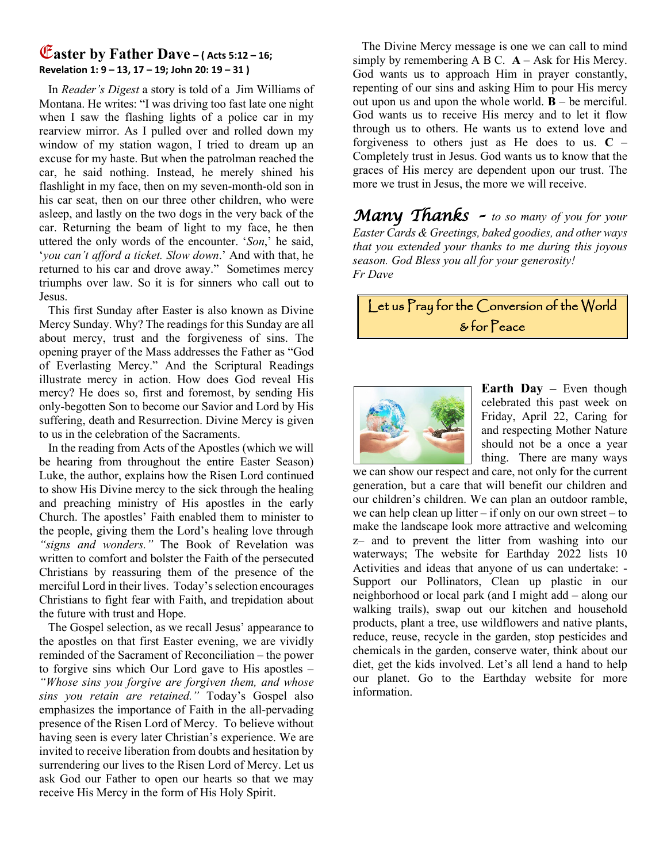## E**aster by Father Dave – ( Acts 5:12 – 16; Revelation 1: 9 – 13, 17 – 19; John 20: 19 – 31 )**

 In *Reader's Digest* a story is told of a Jim Williams of Montana. He writes: "I was driving too fast late one night when I saw the flashing lights of a police car in my rearview mirror. As I pulled over and rolled down my window of my station wagon, I tried to dream up an excuse for my haste. But when the patrolman reached the car, he said nothing. Instead, he merely shined his flashlight in my face, then on my seven-month-old son in his car seat, then on our three other children, who were asleep, and lastly on the two dogs in the very back of the car. Returning the beam of light to my face, he then uttered the only words of the encounter. '*Son*,' he said, '*you can't afford a ticket. Slow down*.' And with that, he returned to his car and drove away." Sometimes mercy triumphs over law. So it is for sinners who call out to Jesus.

 This first Sunday after Easter is also known as Divine Mercy Sunday. Why? The readings for this Sunday are all about mercy, trust and the forgiveness of sins. The opening prayer of the Mass addresses the Father as "God of Everlasting Mercy." And the Scriptural Readings illustrate mercy in action. How does God reveal His mercy? He does so, first and foremost, by sending His only-begotten Son to become our Savior and Lord by His suffering, death and Resurrection. Divine Mercy is given to us in the celebration of the Sacraments.

 In the reading from Acts of the Apostles (which we will be hearing from throughout the entire Easter Season) Luke, the author, explains how the Risen Lord continued to show His Divine mercy to the sick through the healing and preaching ministry of His apostles in the early Church. The apostles' Faith enabled them to minister to the people, giving them the Lord's healing love through *"signs and wonders."* The Book of Revelation was written to comfort and bolster the Faith of the persecuted Christians by reassuring them of the presence of the merciful Lord in their lives. Today's selection encourages Christians to fight fear with Faith, and trepidation about the future with trust and Hope.

 The Gospel selection, as we recall Jesus' appearance to the apostles on that first Easter evening, we are vividly reminded of the Sacrament of Reconciliation – the power to forgive sins which Our Lord gave to His apostles – *"Whose sins you forgive are forgiven them, and whose sins you retain are retained."* Today's Gospel also emphasizes the importance of Faith in the all-pervading presence of the Risen Lord of Mercy. To believe without having seen is every later Christian's experience. We are invited to receive liberation from doubts and hesitation by surrendering our lives to the Risen Lord of Mercy. Let us ask God our Father to open our hearts so that we may receive His Mercy in the form of His Holy Spirit.

 The Divine Mercy message is one we can call to mind simply by remembering  $A B C$ .  $A - Ask$  for His Mercy. God wants us to approach Him in prayer constantly, repenting of our sins and asking Him to pour His mercy out upon us and upon the whole world.  $\mathbf{B}$  – be merciful. God wants us to receive His mercy and to let it flow through us to others. He wants us to extend love and forgiveness to others just as He does to us.  $C -$ Completely trust in Jesus. God wants us to know that the graces of His mercy are dependent upon our trust. The more we trust in Jesus, the more we will receive.

*Many Thanks – to so many of you for your Easter Cards & Greetings, baked goodies, and other ways that you extended your thanks to me during this joyous season. God Bless you all for your generosity! Fr Dave*

Let us Pray for the Conversion of the World & for Peace



**Earth Day –** Even though celebrated this past week on Friday, April 22, Caring for and respecting Mother Nature should not be a once a year thing. There are many ways

we can show our respect and care, not only for the current generation, but a care that will benefit our children and our children's children. We can plan an outdoor ramble, we can help clean up litter – if only on our own street – to make the landscape look more attractive and welcoming z– and to prevent the litter from washing into our waterways; The website for Earthday 2022 lists 10 Activities and ideas that anyone of us can undertake: - Support our Pollinators, Clean up plastic in our neighborhood or local park (and I might add – along our walking trails), swap out our kitchen and household products, plant a tree, use wildflowers and native plants, reduce, reuse, recycle in the garden, stop pesticides and chemicals in the garden, conserve water, think about our diet, get the kids involved. Let's all lend a hand to help our planet. Go to the Earthday website for more information.